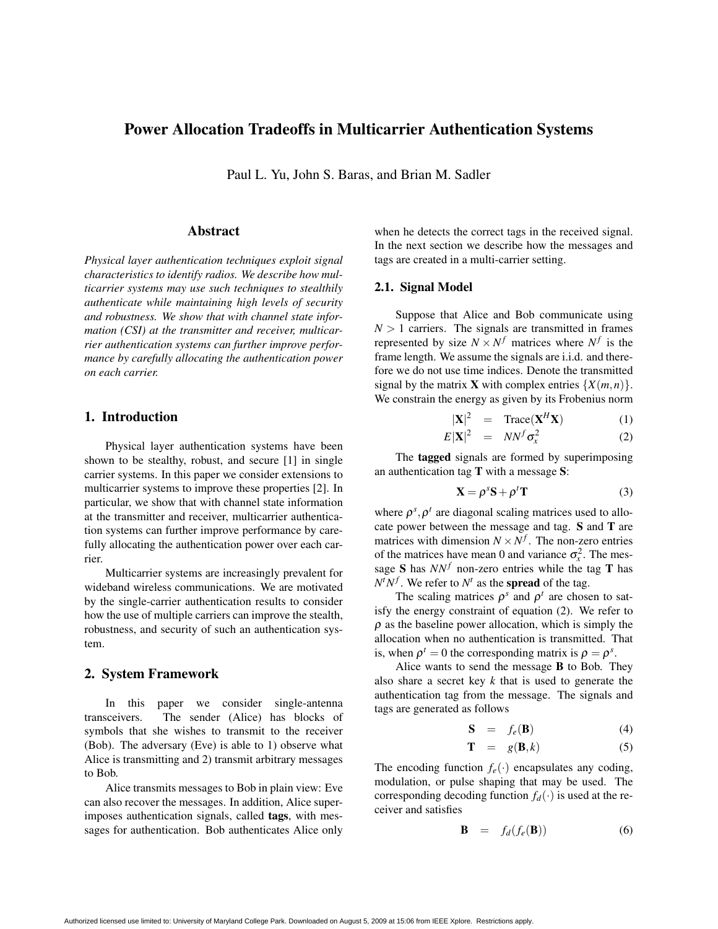# Power Allocation Tradeoffs in Multicarrier Authentication Systems

Paul L. Yu, John S. Baras, and Brian M. Sadler

# Abstract

*Physical layer authentication techniques exploit signal characteristics to identify radios. We describe how multicarrier systems may use such techniques to stealthily authenticate while maintaining high levels of security and robustness. We show that with channel state information (CSI) at the transmitter and receiver, multicarrier authentication systems can further improve performance by carefully allocating the authentication power on each carrier.*

# 1. Introduction

Physical layer authentication systems have been shown to be stealthy, robust, and secure [1] in single carrier systems. In this paper we consider extensions to multicarrier systems to improve these properties [2]. In particular, we show that with channel state information at the transmitter and receiver, multicarrier authentication systems can further improve performance by carefully allocating the authentication power over each carrier.

Multicarrier systems are increasingly prevalent for wideband wireless communications. We are motivated by the single-carrier authentication results to consider how the use of multiple carriers can improve the stealth, robustness, and security of such an authentication system.

### 2. System Framework

In this paper we consider single-antenna transceivers. The sender (Alice) has blocks of symbols that she wishes to transmit to the receiver (Bob). The adversary (Eve) is able to 1) observe what Alice is transmitting and 2) transmit arbitrary messages to Bob.

Alice transmits messages to Bob in plain view: Eve can also recover the messages. In addition, Alice superimposes authentication signals, called tags, with messages for authentication. Bob authenticates Alice only

when he detects the correct tags in the received signal. In the next section we describe how the messages and tags are created in a multi-carrier setting.

### 2.1. Signal Model

Suppose that Alice and Bob communicate using  $N > 1$  carriers. The signals are transmitted in frames represented by size  $N \times N^f$  matrices where  $N^f$  is the frame length. We assume the signals are i.i.d. and therefore we do not use time indices. Denote the transmitted signal by the matrix **X** with complex entries  $\{X(m,n)\}.$ We constrain the energy as given by its Frobenius norm

$$
|\mathbf{X}|^2 = \text{Trace}(\mathbf{X}^H \mathbf{X}) \tag{1}
$$

$$
E|\mathbf{X}|^2 = NN^f \sigma_x^2 \tag{2}
$$

The tagged signals are formed by superimposing an authentication tag T with a message S:

$$
\mathbf{X} = \rho^s \mathbf{S} + \rho^t \mathbf{T} \tag{3}
$$

where  $\rho^s$ ,  $\rho^t$  are diagonal scaling matrices used to allocate power between the message and tag. S and T are matrices with dimension  $N \times N^f$ . The non-zero entries of the matrices have mean 0 and variance  $\sigma_x^2$ . The message S has  $NN<sup>f</sup>$  non-zero entries while the tag T has  $N^t N^f$ . We refer to  $N^t$  as the **spread** of the tag.

The scaling matrices  $\rho^s$  and  $\rho^t$  are chosen to satisfy the energy constraint of equation (2). We refer to  $\rho$  as the baseline power allocation, which is simply the allocation when no authentication is transmitted. That is, when  $\rho^t = 0$  the corresponding matrix is  $\rho = \rho^s$ .

Alice wants to send the message B to Bob. They also share a secret key *k* that is used to generate the authentication tag from the message. The signals and tags are generated as follows

$$
\mathbf{S} = f_e(\mathbf{B}) \tag{4}
$$

$$
\mathbf{T} = g(\mathbf{B}, k) \tag{5}
$$

The encoding function  $f_e(\cdot)$  encapsulates any coding, modulation, or pulse shaping that may be used. The corresponding decoding function  $f_d(\cdot)$  is used at the receiver and satisfies

$$
\mathbf{B} = f_d(f_e(\mathbf{B})) \tag{6}
$$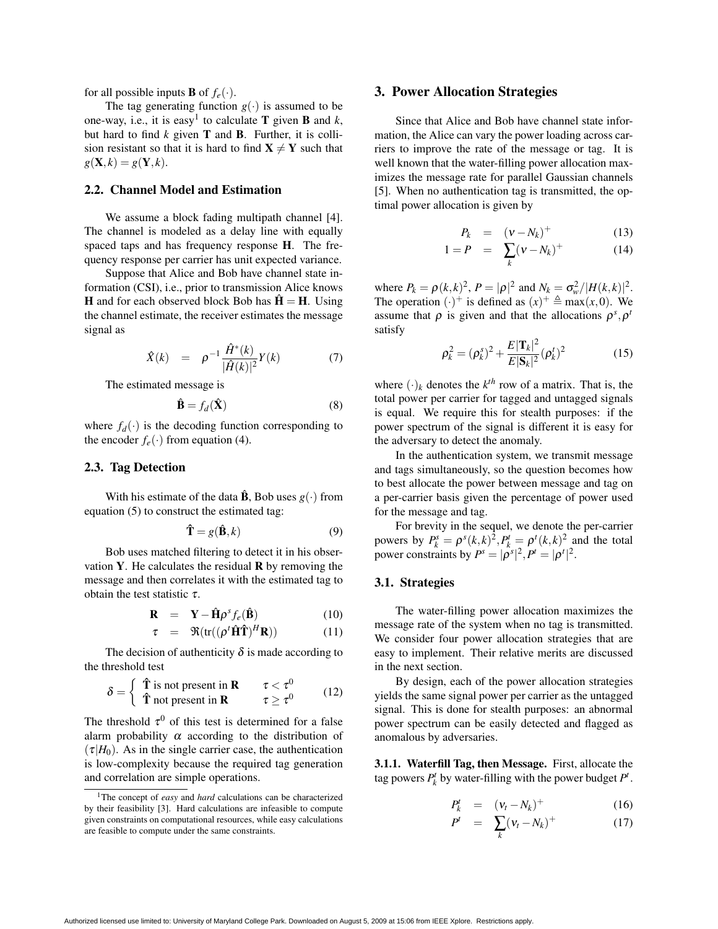for all possible inputs **B** of  $f_e(\cdot)$ .

The tag generating function  $g(\cdot)$  is assumed to be one-way, i.e., it is easy<sup>1</sup> to calculate **T** given **B** and  $k$ , but hard to find  $k$  given  $T$  and  $B$ . Further, it is collision resistant so that it is hard to find  $X \neq Y$  such that  $g(\mathbf{X}, k) = g(\mathbf{Y}, k).$ 

#### 2.2. Channel Model and Estimation

We assume a block fading multipath channel [4]. The channel is modeled as a delay line with equally spaced taps and has frequency response H. The frequency response per carrier has unit expected variance.

Suppose that Alice and Bob have channel state information (CSI), i.e., prior to transmission Alice knows **H** and for each observed block Bob has  $\hat{H} = H$ . Using the channel estimate, the receiver estimates the message signal as

$$
\hat{X}(k) = \rho^{-1} \frac{\hat{H}^*(k)}{|\hat{H}(k)|^2} Y(k) \tag{7}
$$

The estimated message is

$$
\hat{\mathbf{B}} = f_d(\hat{\mathbf{X}}) \tag{8}
$$

where  $f_d(\cdot)$  is the decoding function corresponding to the encoder  $f_e(\cdot)$  from equation (4).

#### 2.3. Tag Detection

With his estimate of the data  $\hat{\mathbf{B}}$ , Bob uses  $g(\cdot)$  from equation (5) to construct the estimated tag:

$$
\mathbf{\hat{T}} = g(\hat{\mathbf{B}}, k) \tag{9}
$$

Bob uses matched filtering to detect it in his observation  $Y$ . He calculates the residual  $R$  by removing the message and then correlates it with the estimated tag to obtain the test statistic  $\tau$ .

$$
\mathbf{R} = \mathbf{Y} - \hat{\mathbf{H}} \rho^s f_e(\hat{\mathbf{B}})
$$
 (10)

$$
\tau = \Re(\text{tr}((\rho^t \hat{\mathbf{H}} \hat{\mathbf{T}})^H \mathbf{R})) \tag{11}
$$

The decision of authenticity  $\delta$  is made according to the threshold test

$$
\delta = \begin{cases} \hat{\mathbf{T}} \text{ is not present in } \mathbf{R} & \tau < \tau^0 \\ \hat{\mathbf{T}} \text{ not present in } \mathbf{R} & \tau \ge \tau^0 \end{cases}
$$
 (12)

The threshold  $\tau^0$  of this test is determined for a false alarm probability  $\alpha$  according to the distribution of  $(\tau|H_0)$ . As in the single carrier case, the authentication is low-complexity because the required tag generation and correlation are simple operations.

### 3. Power Allocation Strategies

Since that Alice and Bob have channel state information, the Alice can vary the power loading across carriers to improve the rate of the message or tag. It is well known that the water-filling power allocation maximizes the message rate for parallel Gaussian channels [5]. When no authentication tag is transmitted, the optimal power allocation is given by

$$
P_k = (\nu - N_k)^+ \tag{13}
$$

$$
1 = P = \sum_{k} (v - N_k)^{+} \tag{14}
$$

where  $P_k = \rho(k, k)^2$ ,  $P = |\rho|^2$  and  $N_k = \frac{\sigma_w^2}{|H(k, k)|^2}$ . The operation  $(\cdot)^+$  is defined as  $(x)^+ \triangleq \max(x,0)$ . We assume that  $\rho$  is given and that the allocations  $\rho^s, \rho^t$ satisfy

$$
\rho_k^2 = (\rho_k^s)^2 + \frac{E|\mathbf{T}_k|^2}{E|\mathbf{S}_k|^2} (\rho_k^t)^2
$$
 (15)

where  $(\cdot)_k$  denotes the  $k^{th}$  row of a matrix. That is, the total power per carrier for tagged and untagged signals is equal. We require this for stealth purposes: if the power spectrum of the signal is different it is easy for the adversary to detect the anomaly.

In the authentication system, we transmit message and tags simultaneously, so the question becomes how to best allocate the power between message and tag on a per-carrier basis given the percentage of power used for the message and tag.

For brevity in the sequel, we denote the per-carrier powers by  $P_k^s = \rho^s(k,k)^2, P_k^t = \rho^t(k,k)^2$  and the total power constraints by  $P^s = |\rho^s|^2, P^t = |\rho^t|^2$ .

#### 3.1. Strategies

The water-filling power allocation maximizes the message rate of the system when no tag is transmitted. We consider four power allocation strategies that are easy to implement. Their relative merits are discussed in the next section.

By design, each of the power allocation strategies yields the same signal power per carrier as the untagged signal. This is done for stealth purposes: an abnormal power spectrum can be easily detected and flagged as anomalous by adversaries.

3.1.1. Waterfill Tag, then Message. First, allocate the tag powers  $P_k^t$  by water-filling with the power budget  $P^t$ .

$$
P_k^t = (v_t - N_k)^+ \tag{16}
$$

$$
P^t = \sum_k (\nu_t - N_k)^+ \tag{17}
$$

<sup>&</sup>lt;sup>1</sup>The concept of *easy* and *hard* calculations can be characterized by their feasibility [3]. Hard calculations are infeasible to compute given constraints on computational resources, while easy calculations are feasible to compute under the same constraints.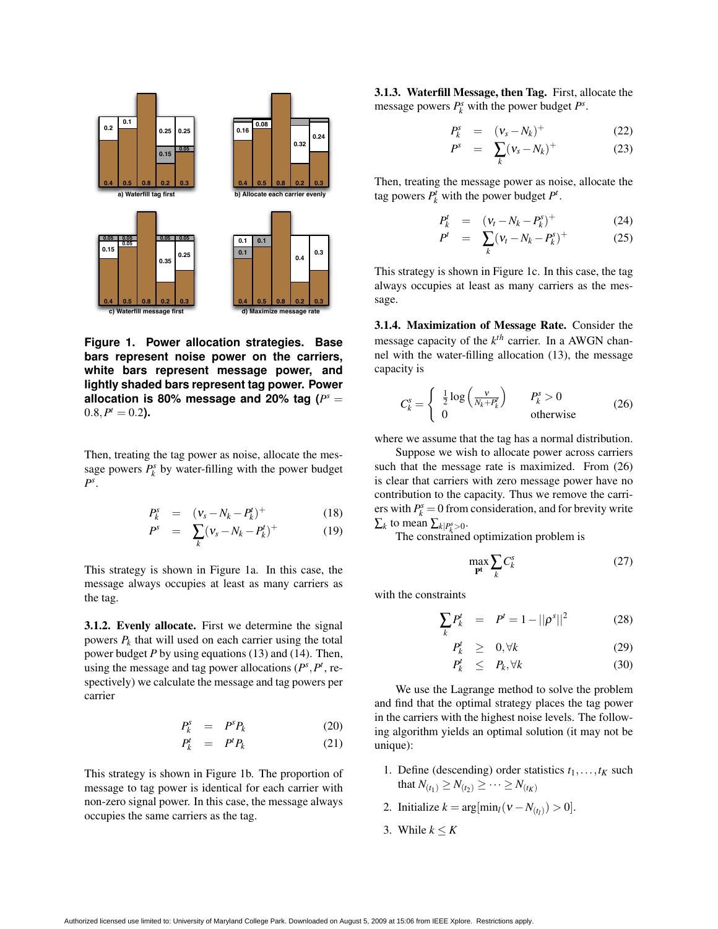

**Figure 1. Power allocation strategies. Base bars represent noise power on the carriers, white bars represent message power, and lightly shaded bars represent tag power. Power** allocation is 80% message and 20% tag ( $P<sup>s</sup>$  =  $0.8, P^t = 0.2$ ).

Then, treating the tag power as noise, allocate the message powers  $P_k^s$  by water-filling with the power budget *P s* .

$$
P_k^s = (v_s - N_k - P_k^t)^+ \tag{18}
$$

$$
P^{s} = \sum_{k} (v_{s} - N_{k} - P_{k}^{t})^{+}
$$
 (19)

This strategy is shown in Figure 1a. In this case, the message always occupies at least as many carriers as the tag.

3.1.2. Evenly allocate. First we determine the signal powers  $P_k$  that will used on each carrier using the total power budget *P* by using equations (13) and (14). Then, using the message and tag power allocations ( $P^s$ ,  $P^t$ , respectively) we calculate the message and tag powers per carrier

$$
P_k^s = P^s P_k \tag{20}
$$

$$
P_k^t = P^t P_k \tag{21}
$$

This strategy is shown in Figure 1b. The proportion of message to tag power is identical for each carrier with non-zero signal power. In this case, the message always occupies the same carriers as the tag.

3.1.3. Waterfill Message, then Tag. First, allocate the message powers  $P_k^s$  with the power budget  $P^s$ .

$$
P_k^s = (\mathbf{v}_s - N_k)^+ \tag{22}
$$

$$
Ps = \sum_{k} (\nu_s - N_k)^{+} \tag{23}
$$

Then, treating the message power as noise, allocate the tag powers  $P_k^t$  with the power budget  $P^t$ .

$$
P_k^t = (v_t - N_k - P_k^s)^+ \tag{24}
$$

$$
P^{t} = \sum_{k} (v_{t} - N_{k} - P_{k}^{s})^{+}
$$
 (25)

This strategy is shown in Figure 1c. In this case, the tag always occupies at least as many carriers as the message.

3.1.4. Maximization of Message Rate. Consider the message capacity of the *k th* carrier. In a AWGN channel with the water-filling allocation (13), the message capacity is

$$
C_k^s = \begin{cases} \frac{1}{2} \log \left( \frac{v}{N_k + P_k^t} \right) & P_k^s > 0\\ 0 & \text{otherwise} \end{cases} \tag{26}
$$

where we assume that the tag has a normal distribution.

Suppose we wish to allocate power across carriers such that the message rate is maximized. From (26) is clear that carriers with zero message power have no contribution to the capacity. Thus we remove the carriers with  $P_k^s = 0$  from consideration, and for brevity write  $\sum_k$  to mean  $\sum_{k|P_k^s > 0}$ .

The constrained optimization problem is

$$
\max_{\mathbf{P}^t} \sum_k C_k^s \tag{27}
$$

with the constraints

$$
\sum_{k} P_{k}^{t} = P^{t} = 1 - ||\rho^{s}||^{2}
$$
 (28)

$$
P_k^t \geq 0, \forall k \tag{29}
$$

$$
P_k^t \leq P_k, \forall k \tag{30}
$$

We use the Lagrange method to solve the problem and find that the optimal strategy places the tag power in the carriers with the highest noise levels. The following algorithm yields an optimal solution (it may not be unique):

- 1. Define (descending) order statistics  $t_1, \ldots, t_K$  such that  $N_{(t_1)} \geq N_{(t_2)} \geq \cdots \geq N_{(t_K)}$
- 2. Initialize  $k = \arg[\min_l(v N_{(t_l)}) > 0].$
- 3. While  $k \leq K$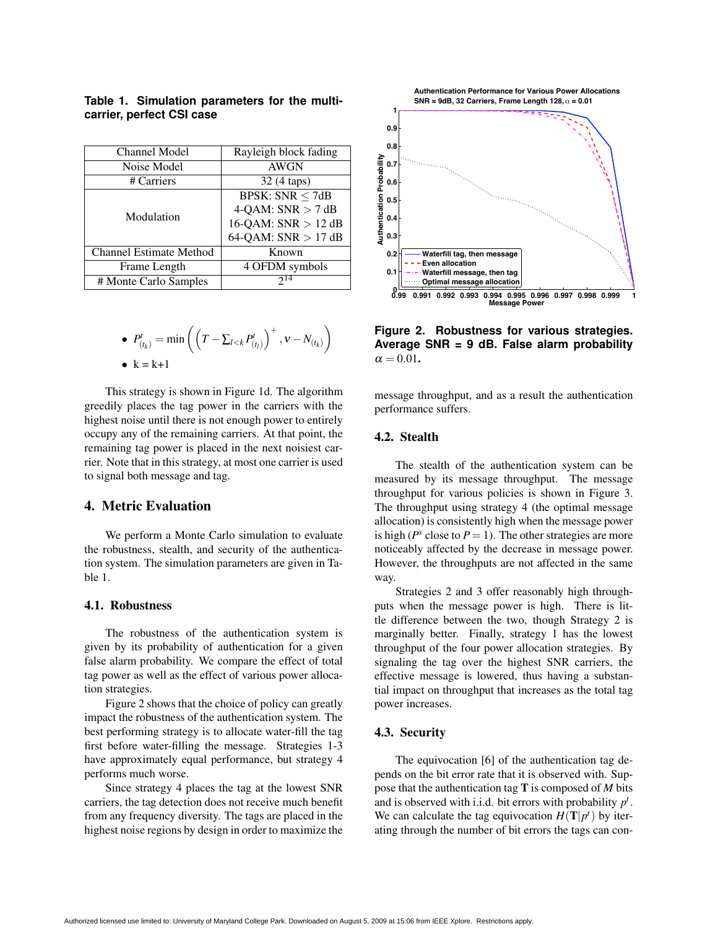| <b>Channel Model</b>           | Rayleigh block fading                  |
|--------------------------------|----------------------------------------|
| Noise Model                    | <b>AWGN</b>                            |
| # Carriers                     | 32 (4 taps)                            |
| Modulation                     | <b>BPSK: SNR <math>\leq</math> 7dB</b> |
|                                | 4-QAM: $SNR > 7$ dB                    |
|                                | 16-QAM: $SNR > 12 dB$                  |
|                                | 64-QAM: $SNR > 17 dB$                  |
| <b>Channel Estimate Method</b> | Known                                  |
| Frame Length                   | 4 OFDM symbols                         |
| # Monte Carlo Samples          |                                        |

# **Table 1. Simulation parameters for the multicarrier, perfect CSI case**

\n- $$
P_{(t_k)}^t = \min\left(\left(T - \sum_{l < k} P_{(t_l)}^t\right)^+, v - N_{(t_k)}\right)
$$
\n- $k = k + 1$
\n

This strategy is shown in Figure 1d. The algorithm greedily places the tag power in the carriers with the highest noise until there is not enough power to entirely occupy any of the remaining carriers. At that point, the remaining tag power is placed in the next noisiest carrier. Note that in this strategy, at most one carrier is used to signal both message and tag.

# 4. Metric Evaluation

We perform a Monte Carlo simulation to evaluate the robustness, stealth, and security of the authentication system. The simulation parameters are given in Table 1.

### 4.1. Robustness

The robustness of the authentication system is given by its probability of authentication for a given false alarm probability. We compare the effect of total tag power as well as the effect of various power allocation strategies.

Figure 2 shows that the choice of policy can greatly impact the robustness of the authentication system. The best performing strategy is to allocate water-fill the tag first before water-filling the message. Strategies 1-3 have approximately equal performance, but strategy 4 performs much worse.

Since strategy 4 places the tag at the lowest SNR carriers, the tag detection does not receive much benefit from any frequency diversity. The tags are placed in the highest noise regions by design in order to maximize the



**Figure 2. Robustness for various strategies. Average SNR = 9 dB. False alarm probability**  $\alpha = 0.01$ .

message throughput, and as a result the authentication performance suffers.

### 4.2. Stealth

The stealth of the authentication system can be measured by its message throughput. The message throughput for various policies is shown in Figure 3. The throughput using strategy 4 (the optimal message allocation) is consistently high when the message power is high ( $P^s$  close to  $P = 1$ ). The other strategies are more noticeably affected by the decrease in message power. However, the throughputs are not affected in the same way.

Strategies 2 and 3 offer reasonably high throughputs when the message power is high. There is little difference between the two, though Strategy 2 is marginally better. Finally, strategy 1 has the lowest throughput of the four power allocation strategies. By signaling the tag over the highest SNR carriers, the effective message is lowered, thus having a substantial impact on throughput that increases as the total tag power increases.

### 4.3. Security

The equivocation [6] of the authentication tag depends on the bit error rate that it is observed with. Suppose that the authentication tag T is composed of *M* bits and is observed with i.i.d. bit errors with probability  $p<sup>t</sup>$ . We can calculate the tag equivocation  $H(T|p^t)$  by iterating through the number of bit errors the tags can con-